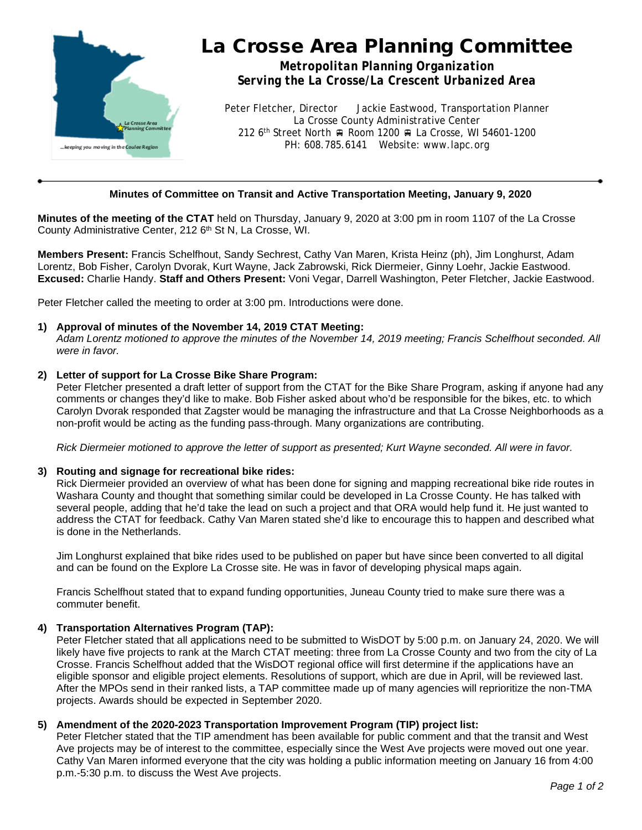

# La Crosse Area Planning Committee

*Metropolitan Planning Organization Serving the La Crosse/La Crescent Urbanized Area*

Peter Fletcher, Director Jackie Eastwood, Transportation Planner La Crosse County Administrative Center 212 6<sup>th</sup> Street North A Room 1200 A La Crosse, WI 54601-1200 PH: 608.785.6141 Website: www.lapc.org

## **Minutes of Committee on Transit and Active Transportation Meeting, January 9, 2020**

**Minutes of the meeting of the CTAT** held on Thursday, January 9, 2020 at 3:00 pm in room 1107 of the La Crosse County Administrative Center, 212 6<sup>th</sup> St N, La Crosse, WI.

**Members Present:** Francis Schelfhout, Sandy Sechrest, Cathy Van Maren, Krista Heinz (ph), Jim Longhurst, Adam Lorentz, Bob Fisher, Carolyn Dvorak, Kurt Wayne, Jack Zabrowski, Rick Diermeier, Ginny Loehr, Jackie Eastwood. **Excused:** Charlie Handy. **Staff and Others Present:** Voni Vegar, Darrell Washington, Peter Fletcher, Jackie Eastwood.

Peter Fletcher called the meeting to order at 3:00 pm. Introductions were done.

## **1) Approval of minutes of the November 14, 2019 CTAT Meeting:**

*Adam Lorentz motioned to approve the minutes of the November 14, 2019 meeting; Francis Schelfhout seconded. All were in favor.*

## **2) Letter of support for La Crosse Bike Share Program:**

Peter Fletcher presented a draft letter of support from the CTAT for the Bike Share Program, asking if anyone had any comments or changes they'd like to make. Bob Fisher asked about who'd be responsible for the bikes, etc. to which Carolyn Dvorak responded that Zagster would be managing the infrastructure and that La Crosse Neighborhoods as a non-profit would be acting as the funding pass-through. Many organizations are contributing.

*Rick Diermeier motioned to approve the letter of support as presented; Kurt Wayne seconded. All were in favor.*

## **3) Routing and signage for recreational bike rides:**

Rick Diermeier provided an overview of what has been done for signing and mapping recreational bike ride routes in Washara County and thought that something similar could be developed in La Crosse County. He has talked with several people, adding that he'd take the lead on such a project and that ORA would help fund it. He just wanted to address the CTAT for feedback. Cathy Van Maren stated she'd like to encourage this to happen and described what is done in the Netherlands.

Jim Longhurst explained that bike rides used to be published on paper but have since been converted to all digital and can be found on the Explore La Crosse site. He was in favor of developing physical maps again.

Francis Schelfhout stated that to expand funding opportunities, Juneau County tried to make sure there was a commuter benefit.

## **4) Transportation Alternatives Program (TAP):**

Peter Fletcher stated that all applications need to be submitted to WisDOT by 5:00 p.m. on January 24, 2020. We will likely have five projects to rank at the March CTAT meeting: three from La Crosse County and two from the city of La Crosse. Francis Schelfhout added that the WisDOT regional office will first determine if the applications have an eligible sponsor and eligible project elements. Resolutions of support, which are due in April, will be reviewed last. After the MPOs send in their ranked lists, a TAP committee made up of many agencies will reprioritize the non-TMA projects. Awards should be expected in September 2020.

## **5) Amendment of the 2020-2023 Transportation Improvement Program (TIP) project list:**

Peter Fletcher stated that the TIP amendment has been available for public comment and that the transit and West Ave projects may be of interest to the committee, especially since the West Ave projects were moved out one year. Cathy Van Maren informed everyone that the city was holding a public information meeting on January 16 from 4:00 p.m.-5:30 p.m. to discuss the West Ave projects.